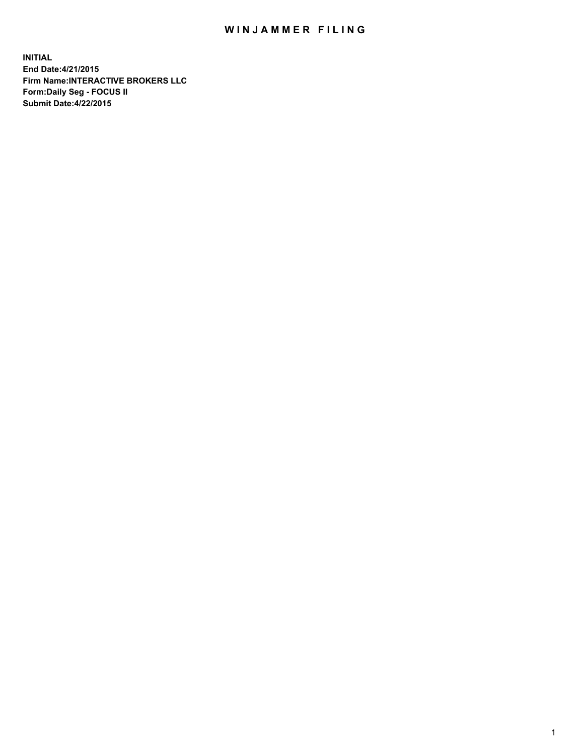## WIN JAMMER FILING

**INITIAL End Date:4/21/2015 Firm Name:INTERACTIVE BROKERS LLC Form:Daily Seg - FOCUS II Submit Date:4/22/2015**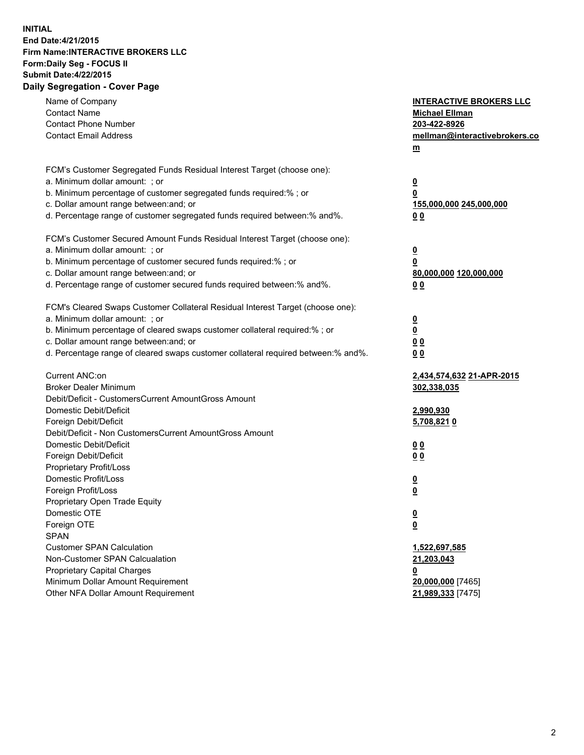## **INITIAL End Date:4/21/2015 Firm Name:INTERACTIVE BROKERS LLC Form:Daily Seg - FOCUS II Submit Date:4/22/2015 Daily Segregation - Cover Page**

| Name of Company<br><b>Contact Name</b><br><b>Contact Phone Number</b><br><b>Contact Email Address</b>                                                                                                                                                                                                                          | <b>INTERACTIVE BROKERS LLC</b><br><b>Michael Ellman</b><br>203-422-8926<br>mellman@interactivebrokers.co<br>$m$ |
|--------------------------------------------------------------------------------------------------------------------------------------------------------------------------------------------------------------------------------------------------------------------------------------------------------------------------------|-----------------------------------------------------------------------------------------------------------------|
| FCM's Customer Segregated Funds Residual Interest Target (choose one):<br>a. Minimum dollar amount: ; or<br>b. Minimum percentage of customer segregated funds required:% ; or<br>c. Dollar amount range between: and; or<br>d. Percentage range of customer segregated funds required between:% and%.                         | <u>0</u><br><u>0</u><br>155,000,000 245,000,000<br>0 <sub>0</sub>                                               |
| FCM's Customer Secured Amount Funds Residual Interest Target (choose one):<br>a. Minimum dollar amount: ; or<br>b. Minimum percentage of customer secured funds required:% ; or<br>c. Dollar amount range between: and; or<br>d. Percentage range of customer secured funds required between:% and%.                           | <u>0</u><br>0<br>80,000,000 120,000,000<br>0 <sub>0</sub>                                                       |
| FCM's Cleared Swaps Customer Collateral Residual Interest Target (choose one):<br>a. Minimum dollar amount: ; or<br>b. Minimum percentage of cleared swaps customer collateral required:% ; or<br>c. Dollar amount range between: and; or<br>d. Percentage range of cleared swaps customer collateral required between:% and%. | $\overline{\mathbf{0}}$<br>$\underline{\mathbf{0}}$<br>0 <sub>0</sub><br>0 <sub>0</sub>                         |
| Current ANC:on<br><b>Broker Dealer Minimum</b><br>Debit/Deficit - CustomersCurrent AmountGross Amount<br>Domestic Debit/Deficit<br>Foreign Debit/Deficit                                                                                                                                                                       | 2,434,574,632 21-APR-2015<br>302,338,035<br>2,990,930<br>5,708,8210                                             |
| Debit/Deficit - Non CustomersCurrent AmountGross Amount<br>Domestic Debit/Deficit<br>Foreign Debit/Deficit<br>Proprietary Profit/Loss<br>Domestic Profit/Loss                                                                                                                                                                  | 0 <sub>0</sub><br>0 <sub>0</sub><br><u>0</u>                                                                    |
| Foreign Profit/Loss<br>Proprietary Open Trade Equity<br>Domestic OTE<br>Foreign OTE<br><b>SPAN</b><br><b>Customer SPAN Calculation</b>                                                                                                                                                                                         | <u>0</u><br><u>0</u><br><u>0</u><br>1,522,697,585                                                               |
| Non-Customer SPAN Calcualation<br><b>Proprietary Capital Charges</b><br>Minimum Dollar Amount Requirement<br>Other NFA Dollar Amount Requirement                                                                                                                                                                               | 21,203,043<br><u>0</u><br>20,000,000 [7465]<br>21,989,333 [7475]                                                |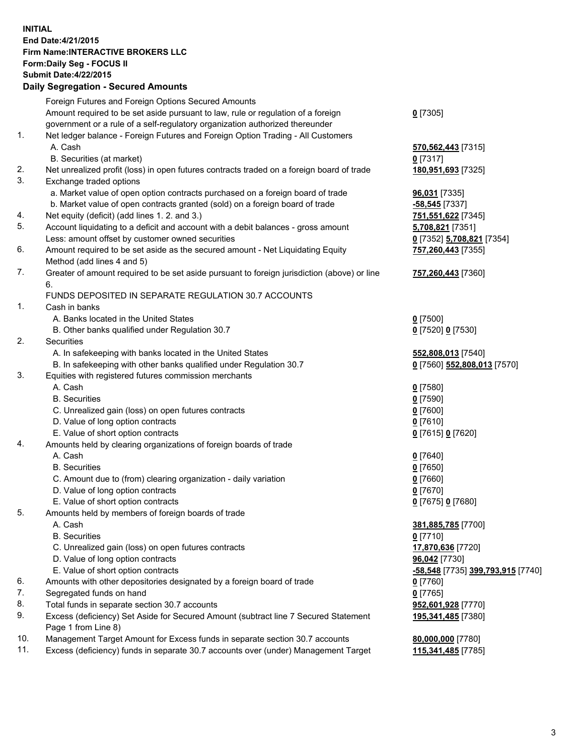## **INITIAL End Date:4/21/2015 Firm Name:INTERACTIVE BROKERS LLC Form:Daily Seg - FOCUS II Submit Date:4/22/2015 Daily Segregation - Secured Amounts**

|     | Dany Ocgregation - Oceanea Annoanta                                                                        |                                                |
|-----|------------------------------------------------------------------------------------------------------------|------------------------------------------------|
|     | Foreign Futures and Foreign Options Secured Amounts                                                        |                                                |
|     | Amount required to be set aside pursuant to law, rule or regulation of a foreign                           | $0$ [7305]                                     |
|     | government or a rule of a self-regulatory organization authorized thereunder                               |                                                |
| 1.  | Net ledger balance - Foreign Futures and Foreign Option Trading - All Customers                            |                                                |
|     | A. Cash                                                                                                    | 570, 562, 443 [7315]                           |
|     | B. Securities (at market)                                                                                  | $0$ [7317]                                     |
| 2.  | Net unrealized profit (loss) in open futures contracts traded on a foreign board of trade                  | 180,951,693 [7325]                             |
| 3.  | Exchange traded options                                                                                    |                                                |
|     | a. Market value of open option contracts purchased on a foreign board of trade                             | 96,031 [7335]                                  |
|     | b. Market value of open contracts granted (sold) on a foreign board of trade                               | <u>-58,545</u> [7337]                          |
| 4.  | Net equity (deficit) (add lines 1.2. and 3.)                                                               | 751,551,622 [7345]                             |
| 5.  | Account liquidating to a deficit and account with a debit balances - gross amount                          | 5,708,821 [7351]                               |
|     | Less: amount offset by customer owned securities                                                           | 0 [7352] 5,708,821 [7354]                      |
| 6.  | Amount required to be set aside as the secured amount - Net Liquidating Equity                             | 757,260,443 [7355]                             |
|     | Method (add lines 4 and 5)                                                                                 |                                                |
| 7.  | Greater of amount required to be set aside pursuant to foreign jurisdiction (above) or line                | 757,260,443 [7360]                             |
|     | 6.                                                                                                         |                                                |
|     | FUNDS DEPOSITED IN SEPARATE REGULATION 30.7 ACCOUNTS                                                       |                                                |
| 1.  | Cash in banks                                                                                              |                                                |
|     | A. Banks located in the United States                                                                      | $0$ [7500]                                     |
|     | B. Other banks qualified under Regulation 30.7                                                             | 0 [7520] 0 [7530]                              |
| 2.  | Securities                                                                                                 |                                                |
|     | A. In safekeeping with banks located in the United States                                                  | 552,808,013 [7540]                             |
|     | B. In safekeeping with other banks qualified under Regulation 30.7                                         | 0 [7560] 552,808,013 [7570]                    |
| 3.  | Equities with registered futures commission merchants                                                      |                                                |
|     | A. Cash                                                                                                    | $0$ [7580]                                     |
|     | <b>B.</b> Securities                                                                                       | $0$ [7590]                                     |
|     | C. Unrealized gain (loss) on open futures contracts                                                        | $0$ [7600]                                     |
|     | D. Value of long option contracts                                                                          | $0$ [7610]                                     |
|     | E. Value of short option contracts                                                                         | 0 [7615] 0 [7620]                              |
| 4.  | Amounts held by clearing organizations of foreign boards of trade                                          |                                                |
|     | A. Cash                                                                                                    | $0$ [7640]                                     |
|     | <b>B.</b> Securities                                                                                       | $0$ [7650]                                     |
|     | C. Amount due to (from) clearing organization - daily variation                                            | $0$ [7660]                                     |
|     | D. Value of long option contracts                                                                          | $0$ [7670]                                     |
|     | E. Value of short option contracts                                                                         | 0 [7675] 0 [7680]                              |
| 5.  | Amounts held by members of foreign boards of trade                                                         |                                                |
|     | A. Cash                                                                                                    | 381,885,785 [7700]                             |
|     | <b>B.</b> Securities                                                                                       | $0$ [7710]                                     |
|     | C. Unrealized gain (loss) on open futures contracts                                                        | 17,870,636 [7720]                              |
|     | D. Value of long option contracts                                                                          | 96,042 [7730]                                  |
|     | E. Value of short option contracts                                                                         | <mark>-58,548</mark> [7735] 399,793,915 [7740] |
| 6.  | Amounts with other depositories designated by a foreign board of trade                                     | $0$ [7760]                                     |
| 7.  | Segregated funds on hand                                                                                   | $0$ [7765]                                     |
| 8.  | Total funds in separate section 30.7 accounts                                                              | 952,601,928 [7770]                             |
| 9.  | Excess (deficiency) Set Aside for Secured Amount (subtract line 7 Secured Statement<br>Page 1 from Line 8) | 195,341,485 [7380]                             |
| 10. | Management Target Amount for Excess funds in separate section 30.7 accounts                                | 80,000,000 [7780]                              |
| 11. | Excess (deficiency) funds in separate 30.7 accounts over (under) Management Target                         | 115,341,485 [7785]                             |
|     |                                                                                                            |                                                |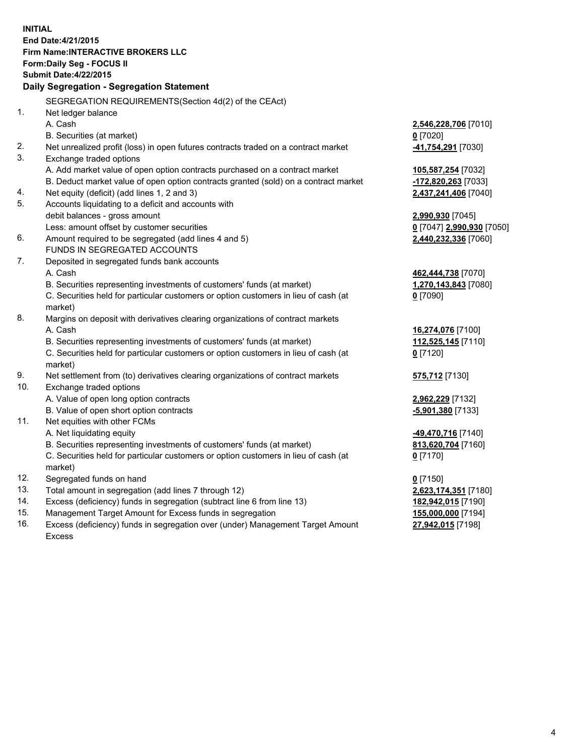**INITIAL End Date:4/21/2015 Firm Name:INTERACTIVE BROKERS LLC Form:Daily Seg - FOCUS II Submit Date:4/22/2015 Daily Segregation - Segregation Statement** SEGREGATION REQUIREMENTS(Section 4d(2) of the CEAct) 1. Net ledger balance A. Cash **2,546,228,706** [7010] B. Securities (at market) **0** [7020] 2. Net unrealized profit (loss) in open futures contracts traded on a contract market **-41,754,291** [7030] 3. Exchange traded options A. Add market value of open option contracts purchased on a contract market **105,587,254** [7032] B. Deduct market value of open option contracts granted (sold) on a contract market **-172,820,263** [7033] 4. Net equity (deficit) (add lines 1, 2 and 3) **2,437,241,406** [7040] 5. Accounts liquidating to a deficit and accounts with debit balances - gross amount **2,990,930** [7045] Less: amount offset by customer securities **0** [7047] **2,990,930** [7050] 6. Amount required to be segregated (add lines 4 and 5) **2,440,232,336** [7060] FUNDS IN SEGREGATED ACCOUNTS 7. Deposited in segregated funds bank accounts A. Cash **462,444,738** [7070] B. Securities representing investments of customers' funds (at market) **1,270,143,843** [7080] C. Securities held for particular customers or option customers in lieu of cash (at market) **0** [7090] 8. Margins on deposit with derivatives clearing organizations of contract markets A. Cash **16,274,076** [7100] B. Securities representing investments of customers' funds (at market) **112,525,145** [7110] C. Securities held for particular customers or option customers in lieu of cash (at market) **0** [7120] 9. Net settlement from (to) derivatives clearing organizations of contract markets **575,712** [7130] 10. Exchange traded options A. Value of open long option contracts **2,962,229** [7132] B. Value of open short option contracts **-5,901,380** [7133] 11. Net equities with other FCMs A. Net liquidating equity **-49,470,716** [7140] B. Securities representing investments of customers' funds (at market) **813,620,704** [7160] C. Securities held for particular customers or option customers in lieu of cash (at market) **0** [7170] 12. Segregated funds on hand **0** [7150] 13. Total amount in segregation (add lines 7 through 12) **2,623,174,351** [7180] 14. Excess (deficiency) funds in segregation (subtract line 6 from line 13) **182,942,015** [7190] 15. Management Target Amount for Excess funds in segregation **155,000,000** [7194]

16. Excess (deficiency) funds in segregation over (under) Management Target Amount Excess

**27,942,015** [7198]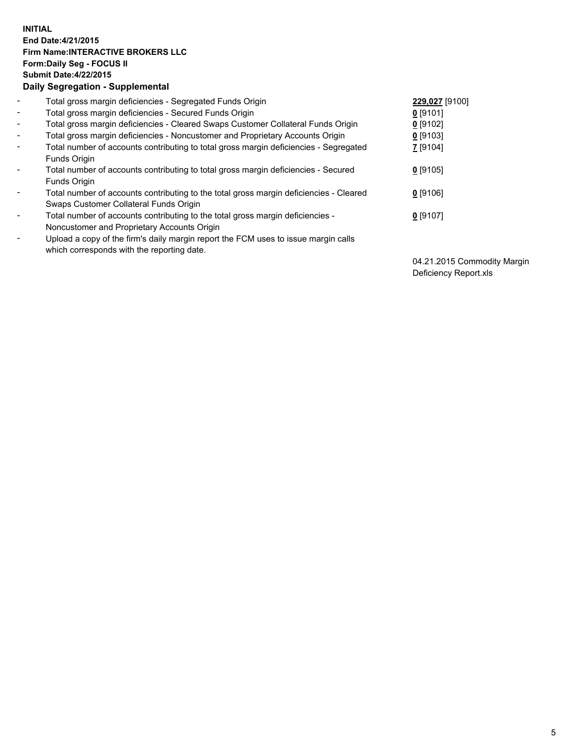## **INITIAL End Date:4/21/2015 Firm Name:INTERACTIVE BROKERS LLC Form:Daily Seg - FOCUS II Submit Date:4/22/2015 Daily Segregation - Supplemental**

| $\blacksquare$           | Total gross margin deficiencies - Segregated Funds Origin                                                                        | 229,027 [9100] |
|--------------------------|----------------------------------------------------------------------------------------------------------------------------------|----------------|
| $\blacksquare$           | Total gross margin deficiencies - Secured Funds Origin                                                                           | $0$ [9101]     |
| $\blacksquare$           | Total gross margin deficiencies - Cleared Swaps Customer Collateral Funds Origin                                                 | $0$ [9102]     |
| $\blacksquare$           | Total gross margin deficiencies - Noncustomer and Proprietary Accounts Origin                                                    | $0$ [9103]     |
| $\blacksquare$           | Total number of accounts contributing to total gross margin deficiencies - Segregated                                            | 7 [9104]       |
|                          | Funds Origin                                                                                                                     |                |
| $\blacksquare$           | Total number of accounts contributing to total gross margin deficiencies - Secured<br>Funds Origin                               | $0$ [9105]     |
| $\overline{\phantom{a}}$ | Total number of accounts contributing to the total gross margin deficiencies - Cleared<br>Swaps Customer Collateral Funds Origin | $0$ [9106]     |
| -                        | Total number of accounts contributing to the total gross margin deficiencies -<br>Noncustomer and Proprietary Accounts Origin    | $0$ [9107]     |
| $\blacksquare$           | Upload a copy of the firm's daily margin report the FCM uses to issue margin calls<br>which corresponds with the reporting date. |                |

04.21.2015 Commodity Margin Deficiency Report.xls